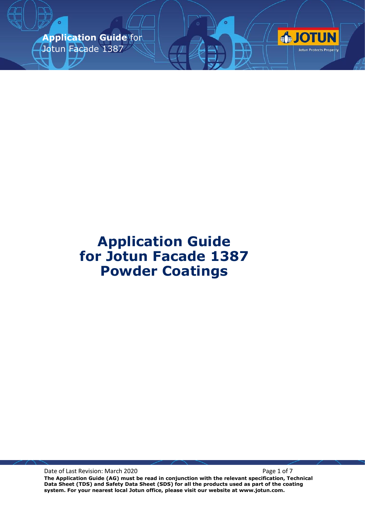**Application Guide** for Jotun Facade 1387



Date of Last Revision: March 2020 **Page 1 of 7** Page 1 of 7

**The Application Guide (AG) must be read in conjunction with the relevant specification, Technical Data Sheet (TDS) and Safety Data Sheet (SDS) for all the products used as part of the coating system. For your nearest local Jotun office, please visit our website at www.jotun.com.**

**OTUN** 

Jotun Protects Property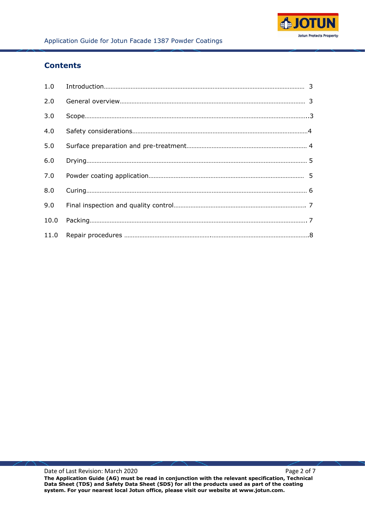

## **Contents**

| 2.0  |  |
|------|--|
| 3.0  |  |
| 4.0  |  |
| 5.0  |  |
| 6.0  |  |
| 7.0  |  |
| 8.0  |  |
| 9.0  |  |
| 10.0 |  |
|      |  |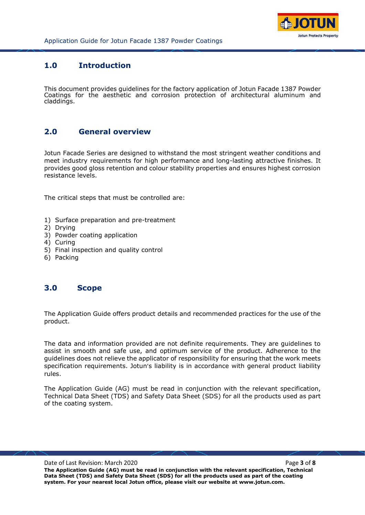

### **1.0 Introduction**

This document provides guidelines for the factory application of Jotun Facade 1387 Powder Coatings for the aesthetic and corrosion protection of architectural aluminum and claddings.

### **2.0 General overview**

Jotun Facade Series are designed to withstand the most stringent weather conditions and meet industry requirements for high performance and long-lasting attractive finishes. It provides good gloss retention and colour stability properties and ensures highest corrosion resistance levels.

The critical steps that must be controlled are:

- 1) Surface preparation and pre-treatment
- 2) Drying
- 3) Powder coating application
- 4) Curing
- 5) Final inspection and quality control
- 6) Packing

### **3.0 Scope**

The Application Guide offers product details and recommended practices for the use of the product.

The data and information provided are not definite requirements. They are guidelines to assist in smooth and safe use, and optimum service of the product. Adherence to the guidelines does not relieve the applicator of responsibility for ensuring that the work meets specification requirements. Jotun's liability is in accordance with general product liability rules.

The Application Guide (AG) must be read in conjunction with the relevant specification, Technical Data Sheet (TDS) and Safety Data Sheet (SDS) for all the products used as part of the coating system.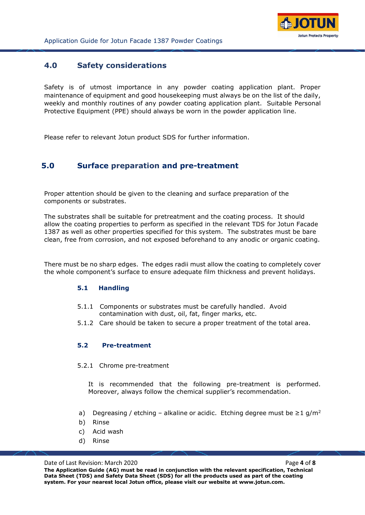

### **4.0 Safety considerations**

Safety is of utmost importance in any powder coating application plant. Proper maintenance of equipment and good housekeeping must always be on the list of the daily, weekly and monthly routines of any powder coating application plant. Suitable Personal Protective Equipment (PPE) should always be worn in the powder application line.

Please refer to relevant Jotun product SDS for further information.

### **5.0 Surface preparation and pre-treatment**

Proper attention should be given to the cleaning and surface preparation of the components or substrates.

The substrates shall be suitable for pretreatment and the coating process. It should allow the coating properties to perform as specified in the relevant TDS for Jotun Facade 1387 as well as other properties specified for this system. The substrates must be bare clean, free from corrosion, and not exposed beforehand to any anodic or organic coating.

There must be no sharp edges. The edges radii must allow the coating to completely cover the whole component's surface to ensure adequate film thickness and prevent holidays.

#### **5.1 Handling**

- 5.1.1 Components or substrates must be carefully handled. Avoid contamination with dust, oil, fat, finger marks, etc.
- 5.1.2 Care should be taken to secure a proper treatment of the total area.

#### **5.2 Pre-treatment**

5.2.1 Chrome pre-treatment

It is recommended that the following pre-treatment is performed. Moreover, always follow the chemical supplier's recommendation.

- a) Degreasing / etching alkaline or acidic. Etching degree must be  $\geq 1$  g/m<sup>2</sup>
- b) Rinse
- c) Acid wash
- d) Rinse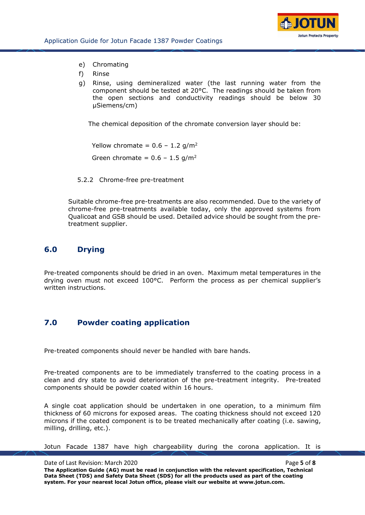

- e) Chromating
- f) Rinse
- g) Rinse, using demineralized water (the last running water from the component should be tested at 20°C. The readings should be taken from the open sections and conductivity readings should be below 30 µSiemens/cm)

The chemical deposition of the chromate conversion layer should be:

Yellow chromate =  $0.6 - 1.2$  g/m<sup>2</sup> Green chromate =  $0.6 - 1.5$  g/m<sup>2</sup>

5.2.2 Chrome-free pre-treatment

Suitable chrome-free pre-treatments are also recommended. Due to the variety of chrome-free pre-treatments available today, only the approved systems from Qualicoat and GSB should be used. Detailed advice should be sought from the pretreatment supplier.

### **6.0 Drying**

Pre-treated components should be dried in an oven. Maximum metal temperatures in the drying oven must not exceed 100°C. Perform the process as per chemical supplier's written instructions.

### **7.0 Powder coating application**

Pre-treated components should never be handled with bare hands.

Pre-treated components are to be immediately transferred to the coating process in a clean and dry state to avoid deterioration of the pre-treatment integrity. Pre-treated components should be powder coated within 16 hours.

A single coat application should be undertaken in one operation, to a minimum film thickness of 60 microns for exposed areas. The coating thickness should not exceed 120 microns if the coated component is to be treated mechanically after coating (i.e. sawing, milling, drilling, etc.).

Jotun Facade 1387 have high chargeability during the corona application. It is

Date of Last Revision: March 2020 **Page 1.1 and 2020 Page 5** of **8 The Application Guide (AG) must be read in conjunction with the relevant specification, Technical Data Sheet (TDS) and Safety Data Sheet (SDS) for all the products used as part of the coating system. For your nearest local Jotun office, please visit our website at www.jotun.com.**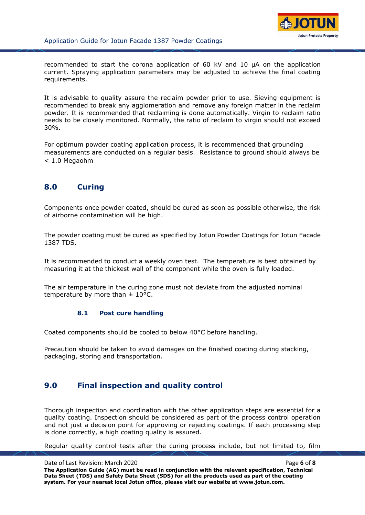

recommended to start the corona application of 60 kV and 10 µA on the application current. Spraying application parameters may be adjusted to achieve the final coating requirements.

It is advisable to quality assure the reclaim powder prior to use. Sieving equipment is recommended to break any agglomeration and remove any foreign matter in the reclaim powder. It is recommended that reclaiming is done automatically. Virgin to reclaim ratio needs to be closely monitored. Normally, the ratio of reclaim to virgin should not exceed 30%.

For optimum powder coating application process, it is recommended that grounding measurements are conducted on a regular basis. Resistance to ground should always be < 1.0 Megaohm

## **8.0 Curing**

Components once powder coated, should be cured as soon as possible otherwise, the risk of airborne contamination will be high.

The powder coating must be cured as specified by Jotun Powder Coatings for Jotun Facade 1387 TDS.

It is recommended to conduct a weekly oven test. The temperature is best obtained by measuring it at the thickest wall of the component while the oven is fully loaded.

The air temperature in the curing zone must not deviate from the adjusted nominal temperature by more than  $\pm$  10°C.

#### **8.1 Post cure handling**

Coated components should be cooled to below 40°C before handling.

Precaution should be taken to avoid damages on the finished coating during stacking, packaging, storing and transportation.

## **9.0 Final inspection and quality control**

Thorough inspection and coordination with the other application steps are essential for a quality coating. Inspection should be considered as part of the process control operation and not just a decision point for approving or rejecting coatings. If each processing step is done correctly, a high coating quality is assured.

Regular quality control tests after the curing process include, but not limited to, film

Date of Last Revision: March 2020 **Page 6** of **8 Page 6** of **8 The Application Guide (AG) must be read in conjunction with the relevant specification, Technical Data Sheet (TDS) and Safety Data Sheet (SDS) for all the products used as part of the coating system. For your nearest local Jotun office, please visit our website at www.jotun.com.**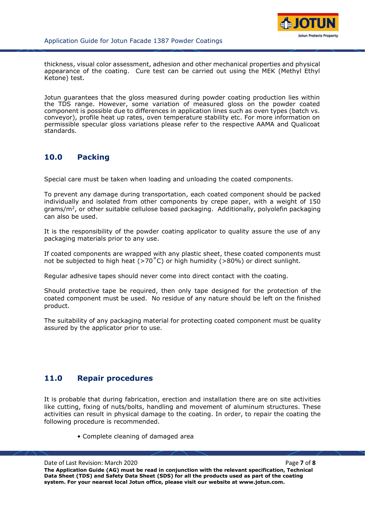

thickness, visual color assessment, adhesion and other mechanical properties and physical appearance of the coating. Cure test can be carried out using the MEK (Methyl Ethyl Ketone) test.

Jotun guarantees that the gloss measured during powder coating production lies within the TDS range. However, some variation of measured gloss on the powder coated component is possible due to differences in application lines such as oven types (batch vs. conveyor), profile heat up rates, oven temperature stability etc. For more information on permissible specular gloss variations please refer to the respective AAMA and Qualicoat standards.

# **10.0 Packing**

Special care must be taken when loading and unloading the coated components.

To prevent any damage during transportation, each coated component should be packed individually and isolated from other components by crepe paper, with a weight of 150 grams/m<sup>2</sup>, or other suitable cellulose based packaging. Additionally, polyolefin packaging can also be used.

It is the responsibility of the powder coating applicator to quality assure the use of any packaging materials prior to any use.

If coated components are wrapped with any plastic sheet, these coated components must not be subjected to high heat ( $>70^{\circ}$ C) or high humidity ( $>80\%$ ) or direct sunlight.

Regular adhesive tapes should never come into direct contact with the coating.

Should protective tape be required, then only tape designed for the protection of the coated component must be used. No residue of any nature should be left on the finished product.

The suitability of any packaging material for protecting coated component must be quality assured by the applicator prior to use.

## **11.0 Repair procedures**

It is probable that during fabrication, erection and installation there are on site activities like cutting, fixing of nuts/bolts, handling and movement of aluminum structures. These activities can result in physical damage to the coating. In order, to repair the coating the following procedure is recommended.

• Complete cleaning of damaged area